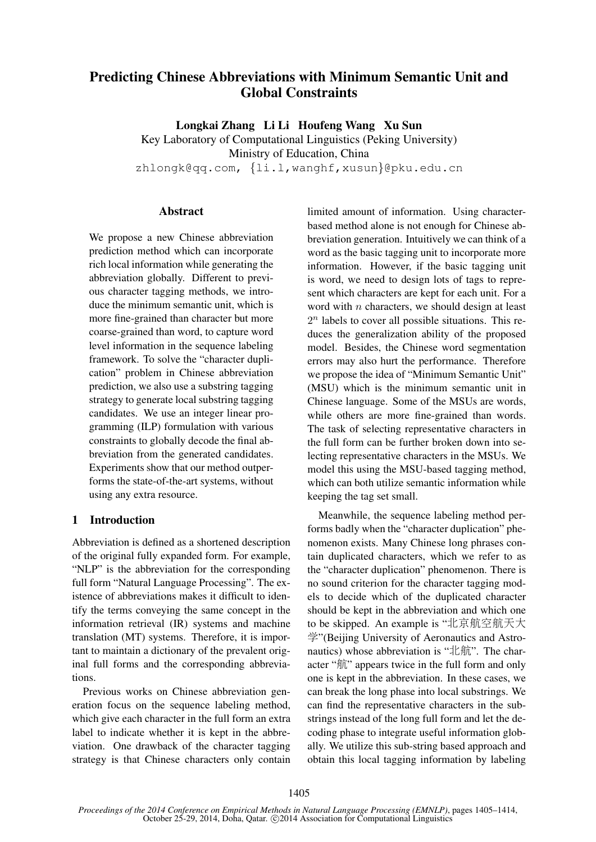# Predicting Chinese Abbreviations with Minimum Semantic Unit and Global Constraints

Longkai Zhang Li Li Houfeng Wang Xu Sun

Key Laboratory of Computational Linguistics (Peking University) Ministry of Education, China zhlongk@qq.com, {li.l,wanghf,xusun}@pku.edu.cn

#### **Abstract**

We propose a new Chinese abbreviation prediction method which can incorporate rich local information while generating the abbreviation globally. Different to previous character tagging methods, we introduce the minimum semantic unit, which is more fine-grained than character but more coarse-grained than word, to capture word level information in the sequence labeling framework. To solve the "character duplication" problem in Chinese abbreviation prediction, we also use a substring tagging strategy to generate local substring tagging candidates. We use an integer linear programming (ILP) formulation with various constraints to globally decode the final abbreviation from the generated candidates. Experiments show that our method outperforms the state-of-the-art systems, without using any extra resource.

### 1 Introduction

Abbreviation is defined as a shortened description of the original fully expanded form. For example, "NLP" is the abbreviation for the corresponding full form "Natural Language Processing". The existence of abbreviations makes it difficult to identify the terms conveying the same concept in the information retrieval (IR) systems and machine translation (MT) systems. Therefore, it is important to maintain a dictionary of the prevalent original full forms and the corresponding abbreviations.

Previous works on Chinese abbreviation generation focus on the sequence labeling method, which give each character in the full form an extra label to indicate whether it is kept in the abbreviation. One drawback of the character tagging strategy is that Chinese characters only contain limited amount of information. Using characterbased method alone is not enough for Chinese abbreviation generation. Intuitively we can think of a word as the basic tagging unit to incorporate more information. However, if the basic tagging unit is word, we need to design lots of tags to represent which characters are kept for each unit. For a word with  $n$  characters, we should design at least  $2<sup>n</sup>$  labels to cover all possible situations. This reduces the generalization ability of the proposed model. Besides, the Chinese word segmentation errors may also hurt the performance. Therefore we propose the idea of "Minimum Semantic Unit" (MSU) which is the minimum semantic unit in Chinese language. Some of the MSUs are words, while others are more fine-grained than words. The task of selecting representative characters in the full form can be further broken down into selecting representative characters in the MSUs. We model this using the MSU-based tagging method, which can both utilize semantic information while keeping the tag set small.

Meanwhile, the sequence labeling method performs badly when the "character duplication" phenomenon exists. Many Chinese long phrases contain duplicated characters, which we refer to as the "character duplication" phenomenon. There is no sound criterion for the character tagging models to decide which of the duplicated character should be kept in the abbreviation and which one to be skipped. An example is "北京航空航天大 学"(Beijing University of Aeronautics and Astronautics) whose abbreviation is "北航". The character "航" appears twice in the full form and only one is kept in the abbreviation. In these cases, we can break the long phase into local substrings. We can find the representative characters in the substrings instead of the long full form and let the decoding phase to integrate useful information globally. We utilize this sub-string based approach and obtain this local tagging information by labeling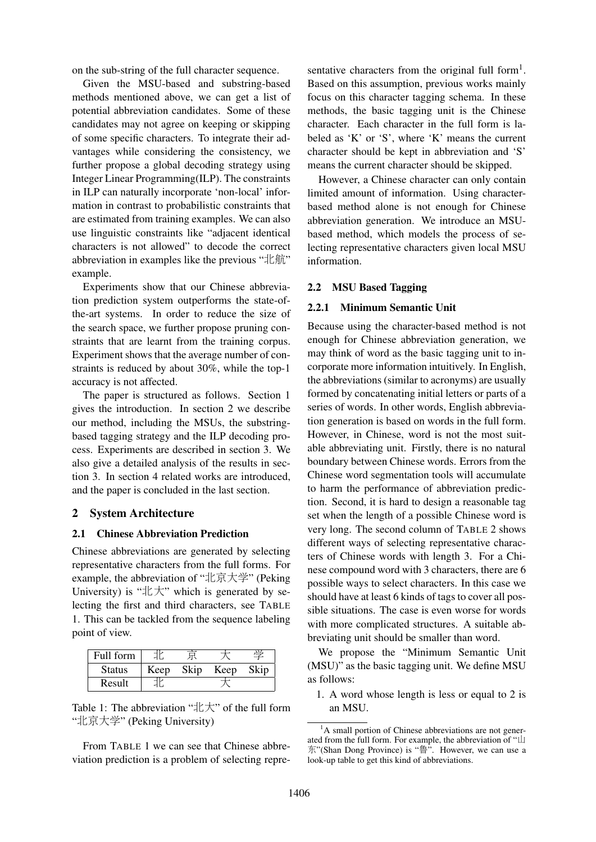on the sub-string of the full character sequence.

Given the MSU-based and substring-based methods mentioned above, we can get a list of potential abbreviation candidates. Some of these candidates may not agree on keeping or skipping of some specific characters. To integrate their advantages while considering the consistency, we further propose a global decoding strategy using Integer Linear Programming(ILP). The constraints in ILP can naturally incorporate 'non-local' information in contrast to probabilistic constraints that are estimated from training examples. We can also use linguistic constraints like "adjacent identical characters is not allowed" to decode the correct abbreviation in examples like the previous "北航" example.

Experiments show that our Chinese abbreviation prediction system outperforms the state-ofthe-art systems. In order to reduce the size of the search space, we further propose pruning constraints that are learnt from the training corpus. Experiment shows that the average number of constraints is reduced by about 30%, while the top-1 accuracy is not affected.

The paper is structured as follows. Section 1 gives the introduction. In section 2 we describe our method, including the MSUs, the substringbased tagging strategy and the ILP decoding process. Experiments are described in section 3. We also give a detailed analysis of the results in section 3. In section 4 related works are introduced, and the paper is concluded in the last section.

#### 2 System Architecture

#### 2.1 Chinese Abbreviation Prediction

Chinese abbreviations are generated by selecting representative characters from the full forms. For example, the abbreviation of "北京大学" (Peking University) is " $\pm \pm \pm$ " which is generated by selecting the first and third characters, see TABLE 1. This can be tackled from the sequence labeling point of view.

| Full form     |      |      |      |      |
|---------------|------|------|------|------|
| <b>Status</b> | Keep | Skip | Keep | Skip |
| Result        |      |      |      |      |
|               |      |      |      |      |

Table 1: The abbreviation " $\pm \pm \pm$ " of the full form "北京大学" (Peking University)

From TABLE 1 we can see that Chinese abbreviation prediction is a problem of selecting repre-

sentative characters from the original full form<sup>1</sup>. Based on this assumption, previous works mainly focus on this character tagging schema. In these methods, the basic tagging unit is the Chinese character. Each character in the full form is labeled as 'K' or 'S', where 'K' means the current character should be kept in abbreviation and 'S' means the current character should be skipped.

However, a Chinese character can only contain limited amount of information. Using characterbased method alone is not enough for Chinese abbreviation generation. We introduce an MSUbased method, which models the process of selecting representative characters given local MSU information.

### 2.2 MSU Based Tagging

#### 2.2.1 Minimum Semantic Unit

Because using the character-based method is not enough for Chinese abbreviation generation, we may think of word as the basic tagging unit to incorporate more information intuitively. In English, the abbreviations (similar to acronyms) are usually formed by concatenating initial letters or parts of a series of words. In other words, English abbreviation generation is based on words in the full form. However, in Chinese, word is not the most suitable abbreviating unit. Firstly, there is no natural boundary between Chinese words. Errors from the Chinese word segmentation tools will accumulate to harm the performance of abbreviation prediction. Second, it is hard to design a reasonable tag set when the length of a possible Chinese word is very long. The second column of TABLE 2 shows different ways of selecting representative characters of Chinese words with length 3. For a Chinese compound word with 3 characters, there are 6 possible ways to select characters. In this case we should have at least 6 kinds of tags to cover all possible situations. The case is even worse for words with more complicated structures. A suitable abbreviating unit should be smaller than word.

We propose the "Minimum Semantic Unit (MSU)" as the basic tagging unit. We define MSU as follows:

1. A word whose length is less or equal to 2 is an MSU.

 ${}^{1}$ A small portion of Chinese abbreviations are not generated from the full form. For example, the abbreviation of "山 东"(Shan Dong Province) is "鲁". However, we can use a look-up table to get this kind of abbreviations.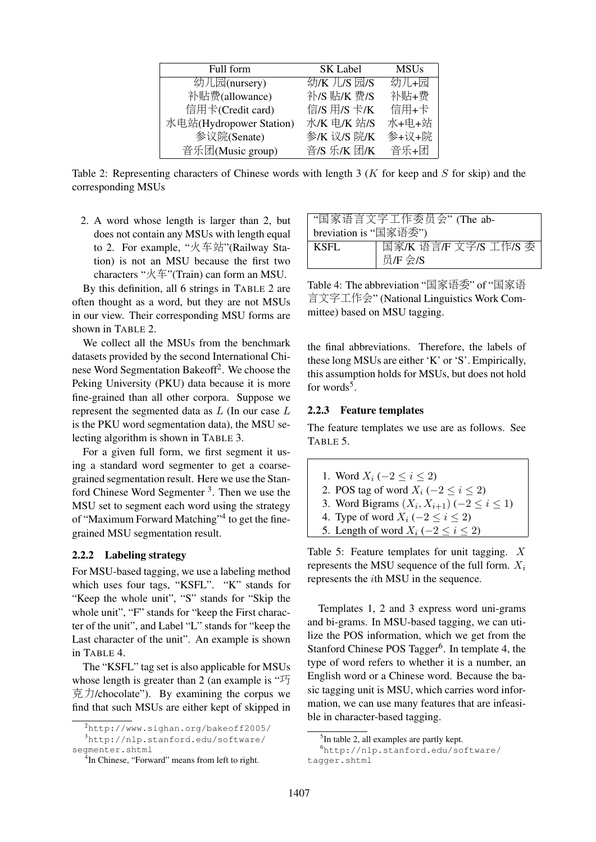| Full form               | <b>SK Label</b> | <b>MSUs</b> |
|-------------------------|-----------------|-------------|
| 幼儿园(nursery)            | 幼/K 儿/S 园/S     | 幼儿+园        |
| 补贴费(allowance)          | 补/S 贴/K 费/S     | 补贴+费        |
| 信用卡(Credit card)        | 信/S 用/S 卡/K     | 信用+卡        |
| 水电站(Hydropower Station) | 水/K 电/K 站/S     | 水+电+站       |
| 参议院(Senate)             | 参/K 议/S 院/K     | 参+议+院       |
| 音乐团(Music group)        | 音/S 乐/K 团/K     | 音乐+团        |

Table 2: Representing characters of Chinese words with length 3 ( $K$  for keep and  $S$  for skip) and the corresponding MSUs

2. A word whose length is larger than 2, but does not contain any MSUs with length equal to 2. For example, "火车站"(Railway Station) is not an MSU because the first two characters "火车"(Train) can form an MSU.

By this definition, all 6 strings in TABLE 2 are often thought as a word, but they are not MSUs in our view. Their corresponding MSU forms are shown in TABLE 2.

We collect all the MSUs from the benchmark datasets provided by the second International Chinese Word Segmentation Bakeoff<sup>2</sup>. We choose the Peking University (PKU) data because it is more fine-grained than all other corpora. Suppose we represent the segmented data as L (In our case L is the PKU word segmentation data), the MSU selecting algorithm is shown in TABLE 3.

For a given full form, we first segment it using a standard word segmenter to get a coarsegrained segmentation result. Here we use the Stanford Chinese Word Segmenter<sup>3</sup>. Then we use the MSU set to segment each word using the strategy of "Maximum Forward Matching"<sup>4</sup> to get the finegrained MSU segmentation result.

#### 2.2.2 Labeling strategy

For MSU-based tagging, we use a labeling method which uses four tags, "KSFL". "K" stands for "Keep the whole unit", "S" stands for "Skip the whole unit", "F" stands for "keep the First character of the unit", and Label "L" stands for "keep the Last character of the unit". An example is shown in TABLE 4.

The "KSFL" tag set is also applicable for MSUs whose length is greater than 2 (an example is "巧  $\bar{\nabla}$   $\bar{\nabla}$  / chocolate"). By examining the corpus we find that such MSUs are either kept of skipped in

| "国家语言文字工作委员会"(The ab- |                       |  |  |  |
|-----------------------|-----------------------|--|--|--|
| breviation is "国家语委") |                       |  |  |  |
| KSFL                  | 国家/K 语言/F 文字/S 工作/S 委 |  |  |  |
|                       | 员/F 会/S               |  |  |  |

Table 4: The abbreviation "国家语委" of "国家<sup>语</sup> 言文字工作会" (National Linguistics Work Committee) based on MSU tagging.

the final abbreviations. Therefore, the labels of these long MSUs are either 'K' or 'S'. Empirically, this assumption holds for MSUs, but does not hold for words<sup>5</sup>.

#### 2.2.3 Feature templates

The feature templates we use are as follows. See TABLE 5.

- 1. Word  $X_i$  ( $-2 \le i \le 2$ )
- 2. POS tag of word  $X_i$  (−2 ≤ i ≤ 2)
- 3. Word Bigrams  $(X_i, X_{i+1})$  (−2 ≤  $i$  ≤ 1)
- 4. Type of word  $X_i$  ( $-2 \le i \le 2$ )
- 5. Length of word  $X_i$  ( $-2 \le i \le 2$ )

Table 5: Feature templates for unit tagging. X represents the MSU sequence of the full form.  $X_i$ represents the ith MSU in the sequence.

Templates 1, 2 and 3 express word uni-grams and bi-grams. In MSU-based tagging, we can utilize the POS information, which we get from the Stanford Chinese POS Tagger<sup>6</sup>. In template 4, the type of word refers to whether it is a number, an English word or a Chinese word. Because the basic tagging unit is MSU, which carries word information, we can use many features that are infeasible in character-based tagging.

<sup>2</sup>http://www.sighan.org/bakeoff2005/ <sup>3</sup>http://nlp.stanford.edu/software/ segmenter.shtml

<sup>4</sup> In Chinese, "Forward" means from left to right.

<sup>&</sup>lt;sup>5</sup>In table 2, all examples are partly kept.

<sup>6</sup>http://nlp.stanford.edu/software/ tagger.shtml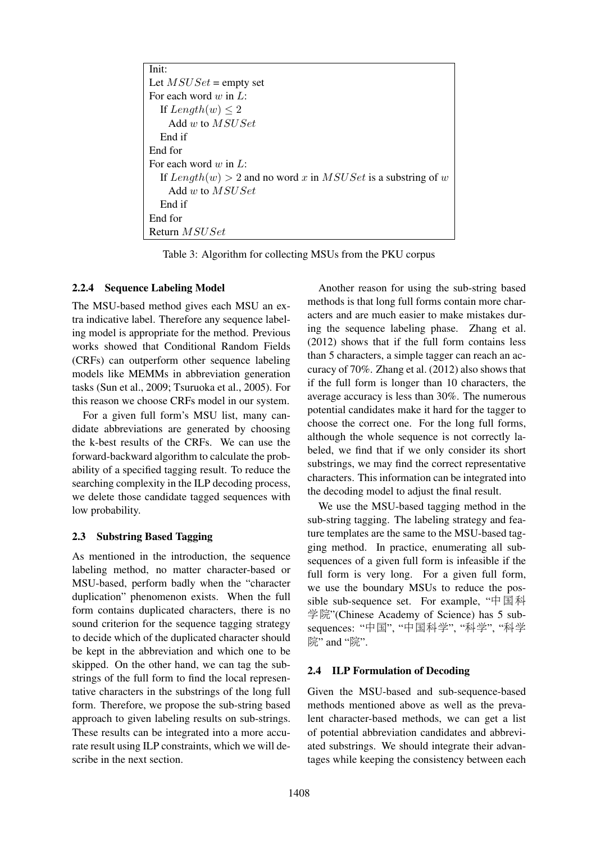| Init:                                                          |
|----------------------------------------------------------------|
| Let $MSUSE =$ empty set                                        |
| For each word $w$ in $L$ :                                     |
| If $Length(w) \leq 2$                                          |
| Add w to $MSUSE$                                               |
| End if                                                         |
| End for                                                        |
| For each word $w$ in $L$ :                                     |
| If $Length(w) > 2$ and no word x in MSUSet is a substring of w |
| Add w to $MSUSE$                                               |
| End if                                                         |
| End for                                                        |
| Return <i>MSUSet</i>                                           |

Table 3: Algorithm for collecting MSUs from the PKU corpus

### 2.2.4 Sequence Labeling Model

The MSU-based method gives each MSU an extra indicative label. Therefore any sequence labeling model is appropriate for the method. Previous works showed that Conditional Random Fields (CRFs) can outperform other sequence labeling models like MEMMs in abbreviation generation tasks (Sun et al., 2009; Tsuruoka et al., 2005). For this reason we choose CRFs model in our system.

For a given full form's MSU list, many candidate abbreviations are generated by choosing the k-best results of the CRFs. We can use the forward-backward algorithm to calculate the probability of a specified tagging result. To reduce the searching complexity in the ILP decoding process, we delete those candidate tagged sequences with low probability.

### 2.3 Substring Based Tagging

As mentioned in the introduction, the sequence labeling method, no matter character-based or MSU-based, perform badly when the "character duplication" phenomenon exists. When the full form contains duplicated characters, there is no sound criterion for the sequence tagging strategy to decide which of the duplicated character should be kept in the abbreviation and which one to be skipped. On the other hand, we can tag the substrings of the full form to find the local representative characters in the substrings of the long full form. Therefore, we propose the sub-string based approach to given labeling results on sub-strings. These results can be integrated into a more accurate result using ILP constraints, which we will describe in the next section.

Another reason for using the sub-string based methods is that long full forms contain more characters and are much easier to make mistakes during the sequence labeling phase. Zhang et al. (2012) shows that if the full form contains less than 5 characters, a simple tagger can reach an accuracy of 70%. Zhang et al. (2012) also shows that if the full form is longer than 10 characters, the average accuracy is less than 30%. The numerous potential candidates make it hard for the tagger to choose the correct one. For the long full forms, although the whole sequence is not correctly labeled, we find that if we only consider its short substrings, we may find the correct representative characters. This information can be integrated into the decoding model to adjust the final result.

We use the MSU-based tagging method in the sub-string tagging. The labeling strategy and feature templates are the same to the MSU-based tagging method. In practice, enumerating all subsequences of a given full form is infeasible if the full form is very long. For a given full form, we use the boundary MSUs to reduce the possible sub-sequence set. For example, "中国科 学院"(Chinese Academy of Science) has 5 subsequences: "中国", "中国科学", "科学", "科学 院" and "院".

### 2.4 ILP Formulation of Decoding

Given the MSU-based and sub-sequence-based methods mentioned above as well as the prevalent character-based methods, we can get a list of potential abbreviation candidates and abbreviated substrings. We should integrate their advantages while keeping the consistency between each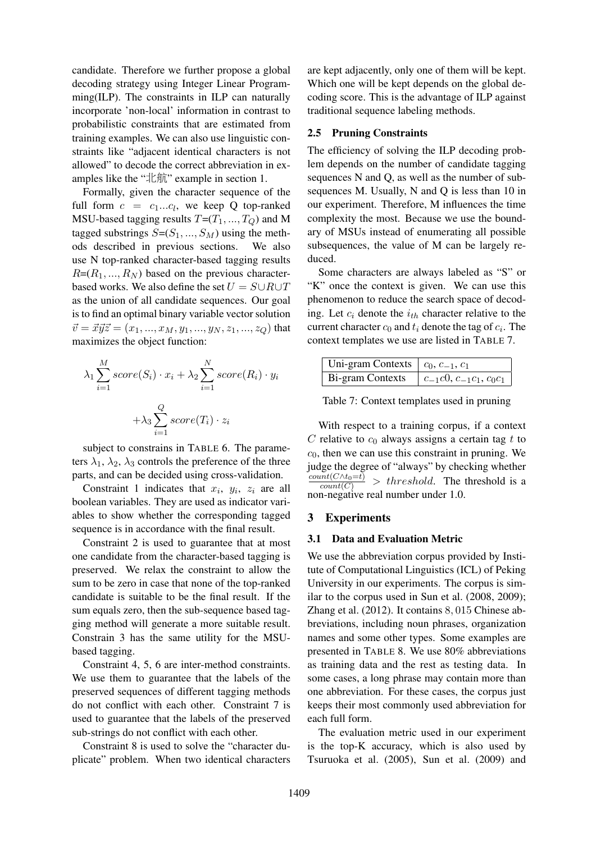candidate. Therefore we further propose a global decoding strategy using Integer Linear Programming(ILP). The constraints in ILP can naturally incorporate 'non-local' information in contrast to probabilistic constraints that are estimated from training examples. We can also use linguistic constraints like "adjacent identical characters is not allowed" to decode the correct abbreviation in examples like the " $\pm \hat{m}$ " example in section 1.

Formally, given the character sequence of the full form  $c = c_1...c_l$ , we keep Q top-ranked MSU-based tagging results  $T=(T_1, ..., T_Q)$  and M tagged substrings  $S=(S_1, ..., S_M)$  using the methods described in previous sections. We also use N top-ranked character-based tagging results  $R=(R_1, ..., R_N)$  based on the previous characterbased works. We also define the set  $U = S \cup R \cup T$ as the union of all candidate sequences. Our goal is to find an optimal binary variable vector solution  $\vec{v} = \vec{x}\vec{y}\vec{z} = (x_1, ..., x_M, y_1, ..., y_N, z_1, ..., z_Q)$  that maximizes the object function:

$$
\lambda_1 \sum_{i=1}^{M} score(S_i) \cdot x_i + \lambda_2 \sum_{i=1}^{N} score(R_i) \cdot y_i
$$

$$
+ \lambda_3 \sum_{i=1}^{Q} score(T_i) \cdot z_i
$$

subject to constrains in TABLE 6. The parameters  $\lambda_1$ ,  $\lambda_2$ ,  $\lambda_3$  controls the preference of the three parts, and can be decided using cross-validation.

Constraint 1 indicates that  $x_i$ ,  $y_i$ ,  $z_i$  are all boolean variables. They are used as indicator variables to show whether the corresponding tagged sequence is in accordance with the final result.

Constraint 2 is used to guarantee that at most one candidate from the character-based tagging is preserved. We relax the constraint to allow the sum to be zero in case that none of the top-ranked candidate is suitable to be the final result. If the sum equals zero, then the sub-sequence based tagging method will generate a more suitable result. Constrain 3 has the same utility for the MSUbased tagging.

Constraint 4, 5, 6 are inter-method constraints. We use them to guarantee that the labels of the preserved sequences of different tagging methods do not conflict with each other. Constraint 7 is used to guarantee that the labels of the preserved sub-strings do not conflict with each other.

Constraint 8 is used to solve the "character duplicate" problem. When two identical characters are kept adjacently, only one of them will be kept. Which one will be kept depends on the global decoding score. This is the advantage of ILP against traditional sequence labeling methods.

### 2.5 Pruning Constraints

The efficiency of solving the ILP decoding problem depends on the number of candidate tagging sequences N and Q, as well as the number of subsequences M. Usually, N and Q is less than 10 in our experiment. Therefore, M influences the time complexity the most. Because we use the boundary of MSUs instead of enumerating all possible subsequences, the value of M can be largely reduced.

Some characters are always labeled as "S" or "K" once the context is given. We can use this phenomenon to reduce the search space of decoding. Let  $c_i$  denote the  $i_{th}$  character relative to the current character  $c_0$  and  $t_i$  denote the tag of  $c_i$ . The context templates we use are listed in TABLE 7.

| Uni-gram Contexts $\mid c_0, c_{-1}, c_1 \rangle$            |  |
|--------------------------------------------------------------|--|
| Bi-gram Contexts $\mid c_{-1}c_0, c_{-1}c_1, c_0c_1 \rangle$ |  |

Table 7: Context templates used in pruning

With respect to a training corpus, if a context C relative to  $c_0$  always assigns a certain tag t to  $c<sub>0</sub>$ , then we can use this constraint in pruning. We judge the degree of "always" by checking whether  $\frac{count(C \wedge t_0=t)}{count(C)}$  > threshold. The threshold is a non-negative real number under 1.0.

#### 3 Experiments

#### 3.1 Data and Evaluation Metric

We use the abbreviation corpus provided by Institute of Computational Linguistics (ICL) of Peking University in our experiments. The corpus is similar to the corpus used in Sun et al. (2008, 2009); Zhang et al. (2012). It contains 8, 015 Chinese abbreviations, including noun phrases, organization names and some other types. Some examples are presented in TABLE 8. We use 80% abbreviations as training data and the rest as testing data. In some cases, a long phrase may contain more than one abbreviation. For these cases, the corpus just keeps their most commonly used abbreviation for each full form.

The evaluation metric used in our experiment is the top-K accuracy, which is also used by Tsuruoka et al. (2005), Sun et al. (2009) and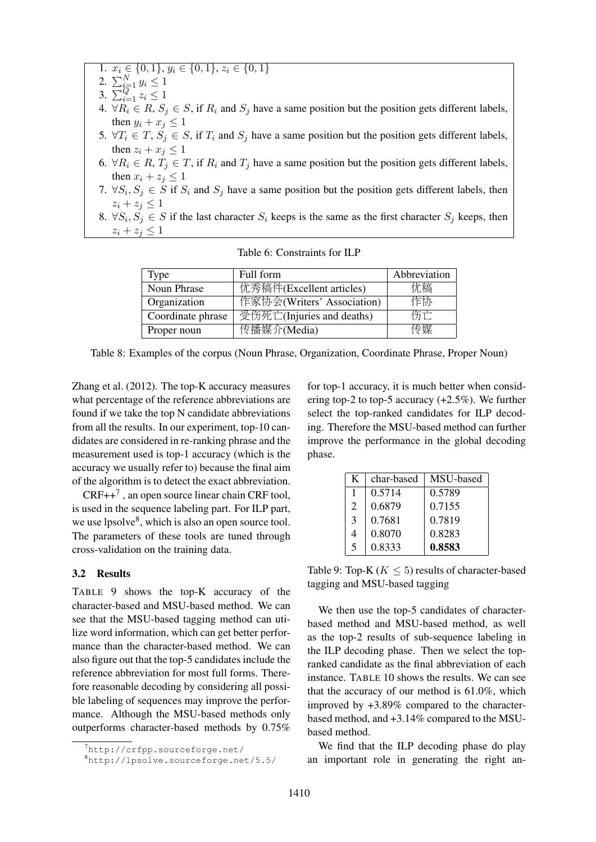1.  $x_i \in \{0,1\}, y_i \in \{0,1\}, z_i \in \{0,1\}$ 

- 2.  $\sum_{i=1}^{N} y_i \leq 1$
- 3.  $\sum_{i=1}^{Q} z_i \leq 1$
- 4.  $\forall R_i \in R$ ,  $S_j \in S$ , if  $R_i$  and  $S_j$  have a same position but the position gets different labels, then  $y_i + x_j \leq 1$
- 5.  $\forall T_i \in T$ ,  $S_j \in S$ , if  $T_i$  and  $S_j$  have a same position but the position gets different labels, then  $z_i + x_j \leq 1$
- 6.  $\forall R_i \in R$ ,  $T_j \in T$ , if  $R_i$  and  $T_j$  have a same position but the position gets different labels, then  $x_i + z_j \leq 1$
- 7.  $\forall S_i, S_j \in S$  if  $S_i$  and  $S_j$  have a same position but the position gets different labels, then  $z_i + z_j \leq 1$
- 8.  $\forall S_i, S_j \in S$  if the last character  $S_i$  keeps is the same as the first character  $S_j$  keeps, then  $z_i + z_j \leq 1$

| Type              | Full form                  | Abbreviation |
|-------------------|----------------------------|--------------|
| Noun Phrase       | 优秀稿件(Excellent articles)   | 稿            |
| Organization      | 作家协会(Writers' Association) | 作协           |
| Coordinate phrase | 受伤死亡(Injuries and deaths)  | 五十           |
| Proper noun       | 传播媒介(Media)                | 专媒           |
|                   |                            |              |

Table 6: Constraints for ILP

| Table 8: Examples of the corpus (Noun Phrase, Organization, Coordinate Phrase, Proper Noun) |  |  |
|---------------------------------------------------------------------------------------------|--|--|
|---------------------------------------------------------------------------------------------|--|--|

Zhang et al. (2012). The top-K accuracy measures what percentage of the reference abbreviations are found if we take the top N candidate abbreviations from all the results. In our experiment, top-10 candidates are considered in re-ranking phrase and the measurement used is top-1 accuracy (which is the accuracy we usually refer to) because the final aim of the algorithm is to detect the exact abbreviation.

 $CRF++^7$ , an open source linear chain CRF tool, is used in the sequence labeling part. For ILP part, we use lpsolve<sup>8</sup>, which is also an open source tool. The parameters of these tools are tuned through cross-validation on the training data.

#### 3.2 Results

TABLE 9 shows the top-K accuracy of the character-based and MSU-based method. We can see that the MSU-based tagging method can utilize word information, which can get better performance than the character-based method. We can also figure out that the top-5 candidates include the reference abbreviation for most full forms. Therefore reasonable decoding by considering all possible labeling of sequences may improve the performance. Although the MSU-based methods only outperforms character-based methods by 0.75%

for top-1 accuracy, it is much better when considering top-2 to top-5 accuracy  $(+2.5\%)$ . We further select the top-ranked candidates for ILP decoding. Therefore the MSU-based method can further improve the performance in the global decoding phase.

| K                       | char-based | MSU-based |
|-------------------------|------------|-----------|
|                         | 0.5714     | 0.5789    |
| 2                       | 0.6879     | 0.7155    |
| 3                       | 0.7681     | 0.7819    |
| 4                       | 0.8070     | 0.8283    |
| $\overline{\mathbf{S}}$ | 0.8333     | 0.8583    |

Table 9: Top-K ( $K \leq 5$ ) results of character-based tagging and MSU-based tagging

We then use the top-5 candidates of characterbased method and MSU-based method, as well as the top-2 results of sub-sequence labeling in the ILP decoding phase. Then we select the topranked candidate as the final abbreviation of each instance. TABLE 10 shows the results. We can see that the accuracy of our method is 61.0%, which improved by +3.89% compared to the characterbased method, and +3.14% compared to the MSUbased method.

We find that the ILP decoding phase do play an important role in generating the right an-

 $^7$ http:// $crfpp.sourcefore,net/$ 

<sup>8</sup>http://lpsolve.sourceforge.net/5.5/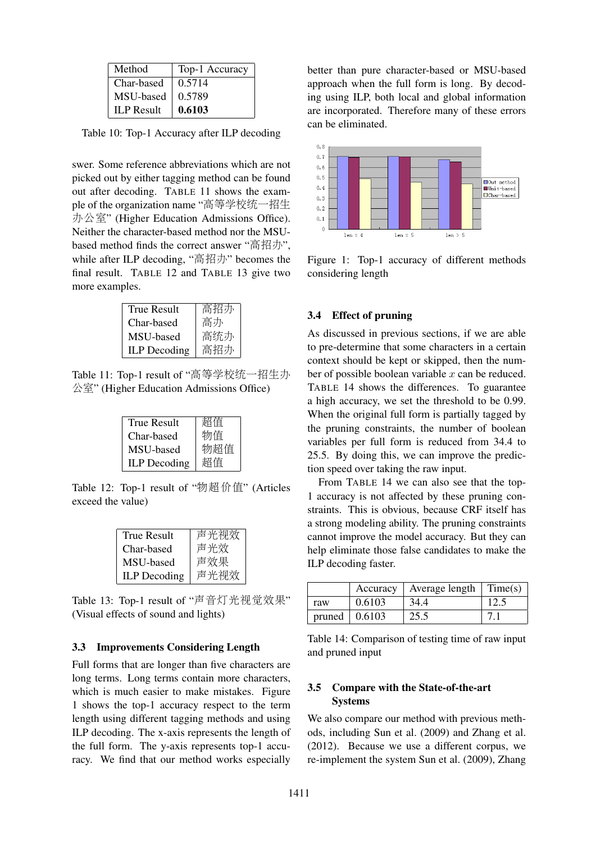| Method            | Top-1 Accuracy |
|-------------------|----------------|
| Char-based        | 0.5714         |
| MSU-based         | 0.5789         |
| <b>ILP</b> Result | 0.6103         |

Table 10: Top-1 Accuracy after ILP decoding

swer. Some reference abbreviations which are not picked out by either tagging method can be found out after decoding. TABLE 11 shows the example of the organization name "高等学校统一招生 办公室" (Higher Education Admissions Office). Neither the character-based method nor the MSUbased method finds the correct answer "高招办", while after ILP decoding, "高招办" becomes the final result. TABLE 12 and TABLE 13 give two more examples.

| True Result         | 高招办 |
|---------------------|-----|
| Char-based          | 高办  |
| MSU-based           | 高统办 |
| <b>ILP</b> Decoding | 高招办 |
|                     |     |

Table 11: Top-1 result of "高等学校统一招生<sup>办</sup> 公室" (Higher Education Admissions Office)

| <b>True Result</b>  | 超值  |
|---------------------|-----|
| Char-based          | 物值  |
| MSU-based           | 物超值 |
| <b>ILP</b> Decoding | 超值  |

Table 12: Top-1 result of "物超价值" (Articles exceed the value)

| True Result         | 声光视效 |
|---------------------|------|
| Char-based          | 声光效  |
| MSU-based           | 声效果  |
| <b>ILP</b> Decoding | 声光视效 |

Table 13: Top-1 result of "声音灯光视觉效果" (Visual effects of sound and lights)

#### 3.3 Improvements Considering Length

Full forms that are longer than five characters are long terms. Long terms contain more characters, which is much easier to make mistakes. Figure 1 shows the top-1 accuracy respect to the term length using different tagging methods and using ILP decoding. The x-axis represents the length of the full form. The y-axis represents top-1 accuracy. We find that our method works especially better than pure character-based or MSU-based approach when the full form is long. By decoding using ILP, both local and global information are incorporated. Therefore many of these errors can be eliminated.



Figure 1: Top-1 accuracy of different methods considering length

#### 3.4 Effect of pruning

As discussed in previous sections, if we are able to pre-determine that some characters in a certain context should be kept or skipped, then the number of possible boolean variable  $x$  can be reduced. TABLE 14 shows the differences. To guarantee a high accuracy, we set the threshold to be 0.99. When the original full form is partially tagged by the pruning constraints, the number of boolean variables per full form is reduced from 34.4 to 25.5. By doing this, we can improve the prediction speed over taking the raw input.

From TABLE 14 we can also see that the top-1 accuracy is not affected by these pruning constraints. This is obvious, because CRF itself has a strong modeling ability. The pruning constraints cannot improve the model accuracy. But they can help eliminate those false candidates to make the ILP decoding faster.

|        | Accuracy | Average length | Time(s) |
|--------|----------|----------------|---------|
| raw    | 0.6103   | 34.4           | 12.5    |
| pruned | 0.6103   | 25.5           |         |

Table 14: Comparison of testing time of raw input and pruned input

### 3.5 Compare with the State-of-the-art Systems

We also compare our method with previous methods, including Sun et al. (2009) and Zhang et al. (2012). Because we use a different corpus, we re-implement the system Sun et al. (2009), Zhang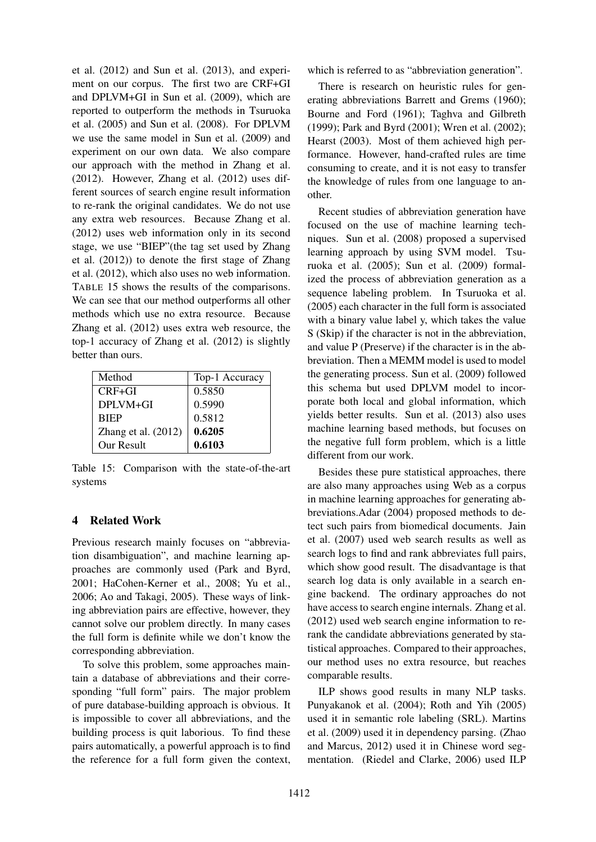et al. (2012) and Sun et al. (2013), and experiment on our corpus. The first two are CRF+GI and DPLVM+GI in Sun et al. (2009), which are reported to outperform the methods in Tsuruoka et al. (2005) and Sun et al. (2008). For DPLVM we use the same model in Sun et al. (2009) and experiment on our own data. We also compare our approach with the method in Zhang et al. (2012). However, Zhang et al. (2012) uses different sources of search engine result information to re-rank the original candidates. We do not use any extra web resources. Because Zhang et al. (2012) uses web information only in its second stage, we use "BIEP"(the tag set used by Zhang et al. (2012)) to denote the first stage of Zhang et al. (2012), which also uses no web information. TABLE 15 shows the results of the comparisons. We can see that our method outperforms all other methods which use no extra resource. Because Zhang et al. (2012) uses extra web resource, the top-1 accuracy of Zhang et al. (2012) is slightly better than ours.

| Method                | Top-1 Accuracy |  |
|-----------------------|----------------|--|
| $CRF + GI$            | 0.5850         |  |
| DPLVM+GL              | 0.5990         |  |
| <b>RIEP</b>           | 0.5812         |  |
| Zhang et al. $(2012)$ | 0.6205         |  |
| Our Result            | 0.6103         |  |

Table 15: Comparison with the state-of-the-art systems

### 4 Related Work

Previous research mainly focuses on "abbreviation disambiguation", and machine learning approaches are commonly used (Park and Byrd, 2001; HaCohen-Kerner et al., 2008; Yu et al., 2006; Ao and Takagi, 2005). These ways of linking abbreviation pairs are effective, however, they cannot solve our problem directly. In many cases the full form is definite while we don't know the corresponding abbreviation.

To solve this problem, some approaches maintain a database of abbreviations and their corresponding "full form" pairs. The major problem of pure database-building approach is obvious. It is impossible to cover all abbreviations, and the building process is quit laborious. To find these pairs automatically, a powerful approach is to find the reference for a full form given the context,

which is referred to as "abbreviation generation".

There is research on heuristic rules for generating abbreviations Barrett and Grems (1960); Bourne and Ford (1961); Taghva and Gilbreth (1999); Park and Byrd (2001); Wren et al. (2002); Hearst (2003). Most of them achieved high performance. However, hand-crafted rules are time consuming to create, and it is not easy to transfer the knowledge of rules from one language to another.

Recent studies of abbreviation generation have focused on the use of machine learning techniques. Sun et al. (2008) proposed a supervised learning approach by using SVM model. Tsuruoka et al. (2005); Sun et al. (2009) formalized the process of abbreviation generation as a sequence labeling problem. In Tsuruoka et al. (2005) each character in the full form is associated with a binary value label y, which takes the value S (Skip) if the character is not in the abbreviation, and value P (Preserve) if the character is in the abbreviation. Then a MEMM model is used to model the generating process. Sun et al. (2009) followed this schema but used DPLVM model to incorporate both local and global information, which yields better results. Sun et al. (2013) also uses machine learning based methods, but focuses on the negative full form problem, which is a little different from our work.

Besides these pure statistical approaches, there are also many approaches using Web as a corpus in machine learning approaches for generating abbreviations.Adar (2004) proposed methods to detect such pairs from biomedical documents. Jain et al. (2007) used web search results as well as search logs to find and rank abbreviates full pairs, which show good result. The disadvantage is that search log data is only available in a search engine backend. The ordinary approaches do not have access to search engine internals. Zhang et al. (2012) used web search engine information to rerank the candidate abbreviations generated by statistical approaches. Compared to their approaches, our method uses no extra resource, but reaches comparable results.

ILP shows good results in many NLP tasks. Punyakanok et al. (2004); Roth and Yih (2005) used it in semantic role labeling (SRL). Martins et al. (2009) used it in dependency parsing. (Zhao and Marcus, 2012) used it in Chinese word segmentation. (Riedel and Clarke, 2006) used ILP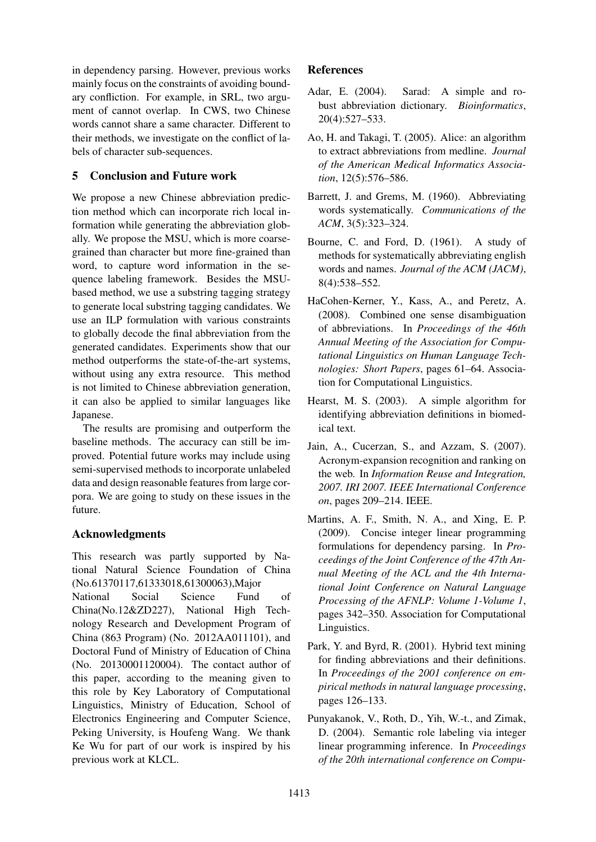in dependency parsing. However, previous works mainly focus on the constraints of avoiding boundary confliction. For example, in SRL, two argument of cannot overlap. In CWS, two Chinese words cannot share a same character. Different to their methods, we investigate on the conflict of labels of character sub-sequences.

## 5 Conclusion and Future work

We propose a new Chinese abbreviation prediction method which can incorporate rich local information while generating the abbreviation globally. We propose the MSU, which is more coarsegrained than character but more fine-grained than word, to capture word information in the sequence labeling framework. Besides the MSUbased method, we use a substring tagging strategy to generate local substring tagging candidates. We use an ILP formulation with various constraints to globally decode the final abbreviation from the generated candidates. Experiments show that our method outperforms the state-of-the-art systems, without using any extra resource. This method is not limited to Chinese abbreviation generation, it can also be applied to similar languages like Japanese.

The results are promising and outperform the baseline methods. The accuracy can still be improved. Potential future works may include using semi-supervised methods to incorporate unlabeled data and design reasonable features from large corpora. We are going to study on these issues in the future.

## Acknowledgments

This research was partly supported by National Natural Science Foundation of China (No.61370117,61333018,61300063),Major National Social Science Fund of China(No.12&ZD227), National High Technology Research and Development Program of China (863 Program) (No. 2012AA011101), and Doctoral Fund of Ministry of Education of China (No. 20130001120004). The contact author of this paper, according to the meaning given to this role by Key Laboratory of Computational Linguistics, Ministry of Education, School of Electronics Engineering and Computer Science, Peking University, is Houfeng Wang. We thank Ke Wu for part of our work is inspired by his previous work at KLCL.

## References

- Adar, E. (2004). Sarad: A simple and robust abbreviation dictionary. *Bioinformatics*, 20(4):527–533.
- Ao, H. and Takagi, T. (2005). Alice: an algorithm to extract abbreviations from medline. *Journal of the American Medical Informatics Association*, 12(5):576–586.
- Barrett, J. and Grems, M. (1960). Abbreviating words systematically. *Communications of the ACM*, 3(5):323–324.
- Bourne, C. and Ford, D. (1961). A study of methods for systematically abbreviating english words and names. *Journal of the ACM (JACM)*, 8(4):538–552.
- HaCohen-Kerner, Y., Kass, A., and Peretz, A. (2008). Combined one sense disambiguation of abbreviations. In *Proceedings of the 46th Annual Meeting of the Association for Computational Linguistics on Human Language Technologies: Short Papers*, pages 61–64. Association for Computational Linguistics.
- Hearst, M. S. (2003). A simple algorithm for identifying abbreviation definitions in biomedical text.
- Jain, A., Cucerzan, S., and Azzam, S. (2007). Acronym-expansion recognition and ranking on the web. In *Information Reuse and Integration, 2007. IRI 2007. IEEE International Conference on*, pages 209–214. IEEE.
- Martins, A. F., Smith, N. A., and Xing, E. P. (2009). Concise integer linear programming formulations for dependency parsing. In *Proceedings of the Joint Conference of the 47th Annual Meeting of the ACL and the 4th International Joint Conference on Natural Language Processing of the AFNLP: Volume 1-Volume 1*, pages 342–350. Association for Computational Linguistics.
- Park, Y. and Byrd, R. (2001). Hybrid text mining for finding abbreviations and their definitions. In *Proceedings of the 2001 conference on empirical methods in natural language processing*, pages 126–133.
- Punyakanok, V., Roth, D., Yih, W.-t., and Zimak, D. (2004). Semantic role labeling via integer linear programming inference. In *Proceedings of the 20th international conference on Compu-*